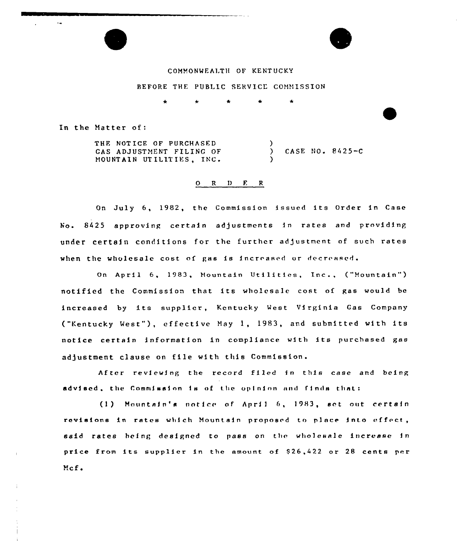

# COMMONWFALTH OF KENTUCKY

# BEFORE THE PUBLIC SERVICE COMMISSION

In the Natter of

THE NOTICE OF PURCHASED GAS ADJUSTMENT FILING OF MOUNTAIN UTILITIES, INC.

) CASE NO. 8425-C

#### 0 <sup>R</sup> <sup>D</sup> F. <sup>R</sup>

 $\lambda$ 

)

On July 6, 1982, the Commission issued its Order in Case No. 8425 approving certain adjustments in rates and providing under certain conditions for the further adjustment of such rates when the wholesale cost of gas is increased or decreased.

On April 6, 1983, Mountain Utilities, Inc., ("Mountain") notified the Commission that its wholesale cost of gas would be increased by its supplier, Kentucky West Virginia Gas Company ("Kentucky West"), effective May 1, 1983, and submitted with its notice certain information in compliance with its purchased gas adjustment clause on file with this Commission.

After reviewing the record filed in this case and being advised, the Commission is of the opinion and finds that:

(1) Mountain's notice of April 6, 1983, set out certain revisions in rates which Mountain proposed to place into effect, said rates heing designed to pass on the wholesale increase in price from its supplier in the amount of \$26,422 or 28 cents per Mcf.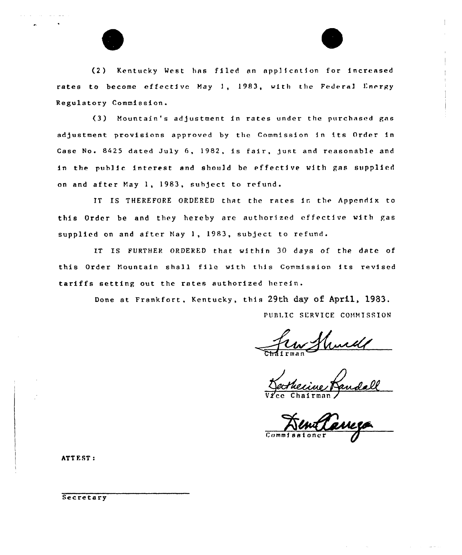

(2) Kentucky West has filed an appl) cation for increased rates to become effective May 1, 1983, with the Federal Energy Regulatory Commission.

(3) Mountain's adjustment in rates under the purchased gas adjustment provisions approved by the Commission in its Order in Case No. 8425 dated July 6, 1982, is fair, just and reasonable and in the public interest and should be effective with gas supplied on and after May 1, 1983, suhject to refund.

IT IS THEREFORE ORDERED that the rates in the Appendix to this Order be and they hereby are authorized effective with gas supplied on and after May 1, 1983, subject to refund.

IT IS FURTHER ORDERED that within 30 days of the date of this Order Mountain shall file with this Commission its revised tariffs setting out the rates authorized herein.

> Done at Frankfort, Kentucky, this 29th day of April, 1983. PUBLIC SERVICE COMMISSION

Vice Chairman

Commissione

ATTEST:

Secretary